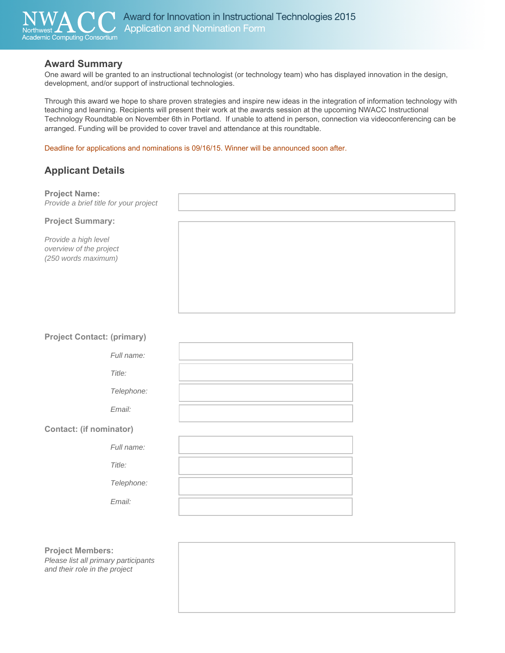

## **Award Summary**

One award will be granted to an instructional technologist (or technology team) who has displayed innovation in the design, development, and/or support of instructional technologies.

Through this award we hope to share proven strategies and inspire new ideas in the integration of information technology with teaching and learning. Recipients will present their work at the awards session at the upcoming NWACC Instructional Technology Roundtable on November 6th in Portland. If unable to attend in person, connection via videoconferencing can be arranged. Funding will be provided to cover travel and attendance at this roundtable.

Deadline for applications and nominations is 09/16/15. Winner will be announced soon after.

# **Applicant Details**

| <b>Project Name:</b><br>Provide a brief title for your project         |  |
|------------------------------------------------------------------------|--|
| <b>Project Summary:</b>                                                |  |
| Provide a high level<br>overview of the project<br>(250 words maximum) |  |

## **Project Contact: (primary)**

| Full name: |  |
|------------|--|
| Title:     |  |
| Telephone: |  |
| Email:     |  |
| nator)     |  |

## **Contact: (if nomir**

*Full name:* 

*Title:* 

*Telephone:* 

*Email:* 

**Project Members:**  *Please list all primary participants* 

*and their role in the project*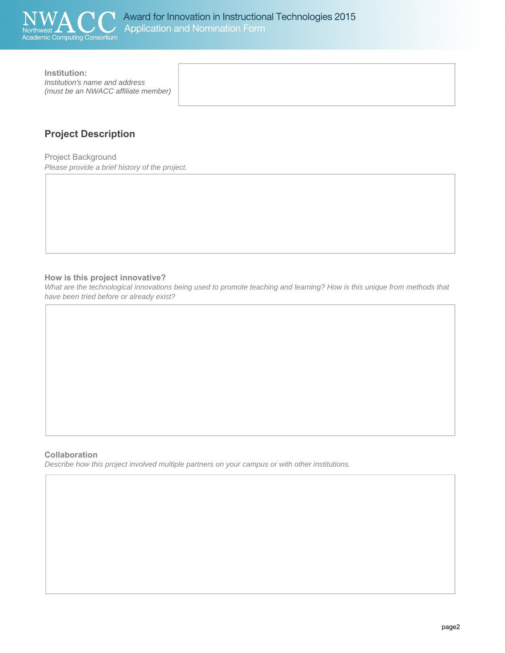

**Institution:** *Institution's name and address (must be an NWACC affiliate member)* 

# **Project Description**

Project Background *Please provide a brief history of the project.* 

## **How is this project innovative?**

*What are the technological innovations being used to promote teaching and learning? How is this unique from methods that have been tried before or already exist?* 

## **Collaboration**

*Describe how this project involved multiple partners on your campus or with other institutions.*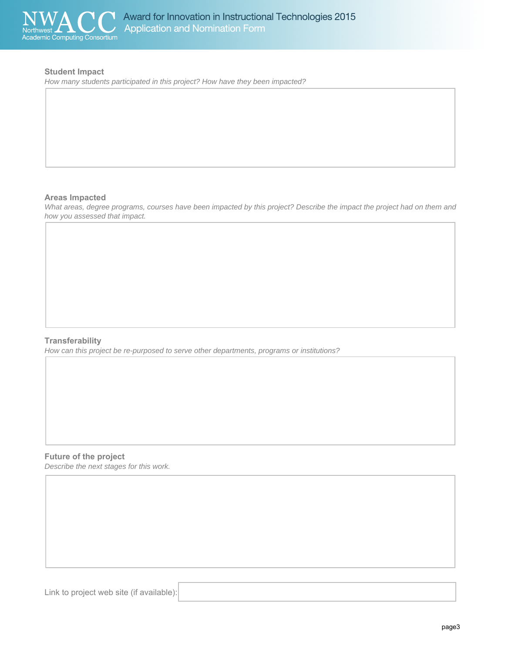

## **Student Impact**

*How many students participated in this project? How have they been impacted?* 

#### **Areas Impacted**

*What areas, degree programs, courses have been impacted by this project? Describe the impact the project had on them and how you assessed that impact.* 

## **Transferability**

*How can this project be re-purposed to serve other departments, programs or institutions?* 

## **Future of the project**

*Describe the next stages for this work.* 

Link to project web site (if available):